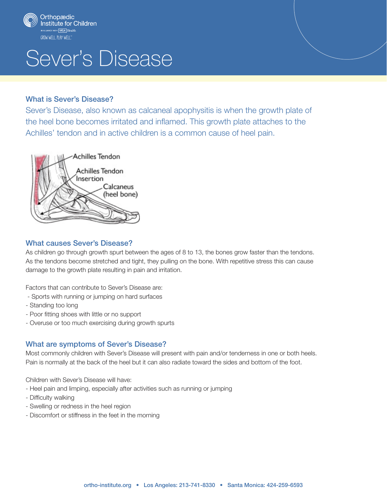

# Sever's Disease

#### What is Sever's Disease?

Sever's Disease, also known as calcaneal apophysitis is when the growth plate of the heel bone becomes irritated and inflamed. This growth plate attaches to the Achilles' tendon and in active children is a common cause of heel pain.



#### What causes Sever's Disease?

As children go through growth spurt between the ages of 8 to 13, the bones grow faster than the tendons. As the tendons become stretched and tight, they pulling on the bone. With repetitive stress this can cause damage to the growth plate resulting in pain and irritation.

Factors that can contribute to Sever's Disease are:

- Sports with running or jumping on hard surfaces
- Standing too long
- Poor fitting shoes with little or no support
- Overuse or too much exercising during growth spurts

### What are symptoms of Sever's Disease?

Most commonly children with Sever's Disease will present with pain and/or tenderness in one or both heels. Pain is normally at the back of the heel but it can also radiate toward the sides and bottom of the foot.

Children with Sever's Disease will have:

- Heel pain and limping, especially after activities such as running or jumping
- Difficulty walking
- Swelling or redness in the heel region
- Discomfort or stiffness in the feet in the morning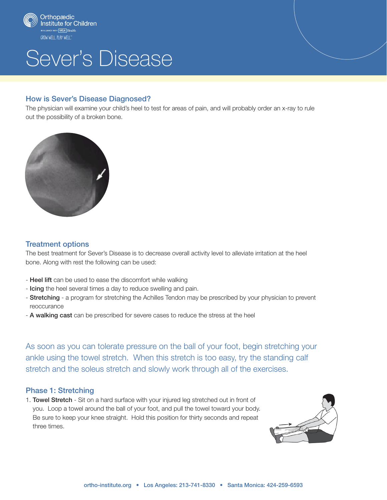

# Sever's Disease

#### How is Sever's Disease Diagnosed?

The physician will examine your child's heel to test for areas of pain, and will probably order an x-ray to rule out the possibility of a broken bone.



#### Treatment options

The best treatment for Sever's Disease is to decrease overall activity level to alleviate irritation at the heel bone. Along with rest the following can be used:

- Heel lift can be used to ease the discomfort while walking
- Icing the heel several times a day to reduce swelling and pain.
- Stretching a program for stretching the Achilles Tendon may be prescribed by your physician to prevent reoccurance
- A walking cast can be prescribed for severe cases to reduce the stress at the heel

As soon as you can tolerate pressure on the ball of your foot, begin stretching your ankle using the towel stretch. When this stretch is too easy, try the standing calf stretch and the soleus stretch and slowly work through all of the exercises.

#### Phase 1: Stretching

1. Towel Stretch - Sit on a hard surface with your injured leg stretched out in front of you. Loop a towel around the ball of your foot, and pull the towel toward your body. Be sure to keep your knee straight. Hold this position for thirty seconds and repeat three times.